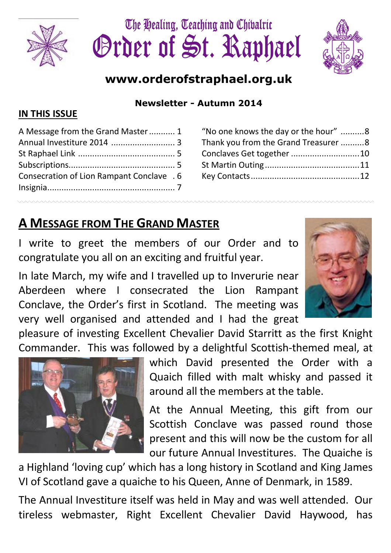





## www.orderofstraphael.org.uk

Newsletter - Autumn 2014

#### IN THIS ISSUE

| A Message from the Grand Master 1         |  |
|-------------------------------------------|--|
|                                           |  |
|                                           |  |
|                                           |  |
| Consecration of Lion Rampant Conclave . 6 |  |
|                                           |  |
|                                           |  |

#### "No one knows the day or the hour" .......... 8 Thank you from the Grand Treasurer .......... 8 Conclaves Get together ............................. 10 St Martin Outing ........................................ 11 Key Contacts .............................................. 12

## A MESSAGE FROM THE GRAND MASTER

I write to greet the members of our Order and to congratulate you all on an exciting and fruitful year.

In late March, my wife and I travelled up to Inverurie near Aberdeen where I consecrated the Lion Rampant Conclave, the Order's first in Scotland. The meeting was very well organised and attended and I had the great

pleasure of investing Excellent Chevalier David Starritt as the first Knight Commander. This was followed by a delightful Scottish-themed meal, at



which David presented the Order with a Quaich filled with malt whisky and passed it around all the members at the table.

At the Annual Meeting, this gift from our Scottish Conclave was passed round those present and this will now be the custom for all our future Annual Investitures. The Quaiche is

a Highland 'loving cup' which has a long history in Scotland and King James VI of Scotland gave a quaiche to his Queen, Anne of Denmark, in 1589.

The Annual Investiture itself was held in May and was well attended. Our tireless webmaster, Right Excellent Chevalier David Haywood, has

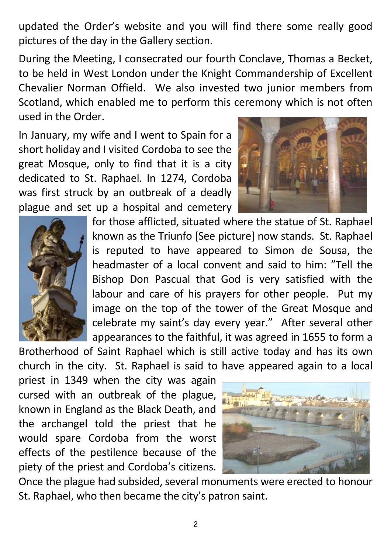updated the Order's website and you will find there some really good pictures of the day in the Gallery section.

During the Meeting, I consecrated our fourth Conclave, Thomas a Becket, to be held in West London under the Knight Commandership of Excellent Chevalier Norman Offield. We also invested two junior members from Scotland, which enabled me to perform this ceremony which is not often used in the Order.

In January, my wife and I went to Spain for a short holiday and I visited Cordoba to see the great Mosque, only to find that it is a city dedicated to St. Raphael. In 1274, Cordoba was first struck by an outbreak of a deadly plague and set up a hospital and cemetery





for those afflicted, situated where the statue of St. Raphael known as the Triunfo [See picture] now stands. St. Raphael is reputed to have appeared to Simon de Sousa, the headmaster of a local convent and said to him: "Tell the Bishop Don Pascual that God is very satisfied with the labour and care of his prayers for other people. Put my image on the top of the tower of the Great Mosque and celebrate my saint's day every year." After several other appearances to the faithful, it was agreed in 1655 to form a

Brotherhood of Saint Raphael which is still active today and has its own church in the city. St. Raphael is said to have appeared again to a local

priest in 1349 when the city was again cursed with an outbreak of the plague, known in England as the Black Death, and the archangel told the priest that he would spare Cordoba from the worst effects of the pestilence because of the piety of the priest and Cordoba's citizens.



Once the plague had subsided, several monuments were erected to honour St. Raphael, who then became the city's patron saint.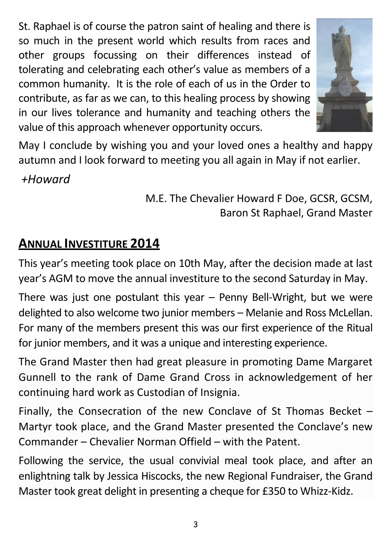St. Raphael is of course the patron saint of healing and there is so much in the present world which results from races and other groups focussing on their differences instead of tolerating and celebrating each other's value as members of a common humanity. It is the role of each of us in the Order to contribute, as far as we can, to this healing process by showing in our lives tolerance and humanity and teaching others the value of this approach whenever opportunity occurs.



May I conclude by wishing you and your loved ones a healthy and happy autumn and I look forward to meeting you all again in May if not earlier.

+Howard

M.E. The Chevalier Howard F Doe, GCSR, GCSM, Baron St Raphael, Grand Master

## ANNUAL INVESTITURE 2014

This year's meeting took place on 10th May, after the decision made at last year's AGM to move the annual investiture to the second Saturday in May.

There was just one postulant this year – Penny Bell-Wright, but we were delighted to also welcome two junior members – Melanie and Ross McLellan. For many of the members present this was our first experience of the Ritual for junior members, and it was a unique and interesting experience.

The Grand Master then had great pleasure in promoting Dame Margaret Gunnell to the rank of Dame Grand Cross in acknowledgement of her continuing hard work as Custodian of Insignia.

Finally, the Consecration of the new Conclave of St Thomas Becket – Martyr took place, and the Grand Master presented the Conclave's new Commander – Chevalier Norman Offield – with the Patent.

Following the service, the usual convivial meal took place, and after an enlightning talk by Jessica Hiscocks, the new Regional Fundraiser, the Grand Master took great delight in presenting a cheque for £350 to Whizz-Kidz.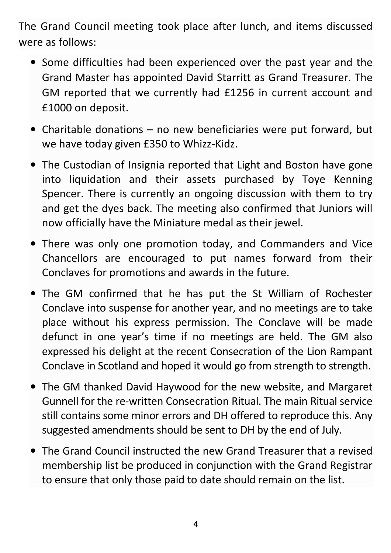The Grand Council meeting took place after lunch, and items discussed were as follows:

- Some difficulties had been experienced over the past year and the Grand Master has appointed David Starritt as Grand Treasurer. The GM reported that we currently had £1256 in current account and £1000 on deposit.
- Charitable donations no new beneficiaries were put forward, but we have today given £350 to Whizz-Kidz.
- The Custodian of Insignia reported that Light and Boston have gone into liquidation and their assets purchased by Toye Kenning Spencer. There is currently an ongoing discussion with them to try and get the dyes back. The meeting also confirmed that Juniors will now officially have the Miniature medal as their jewel.
- There was only one promotion today, and Commanders and Vice Chancellors are encouraged to put names forward from their Conclaves for promotions and awards in the future.
- The GM confirmed that he has put the St William of Rochester Conclave into suspense for another year, and no meetings are to take place without his express permission. The Conclave will be made defunct in one year's time if no meetings are held. The GM also expressed his delight at the recent Consecration of the Lion Rampant Conclave in Scotland and hoped it would go from strength to strength.
- The GM thanked David Haywood for the new website, and Margaret Gunnell for the re-written Consecration Ritual. The main Ritual service still contains some minor errors and DH offered to reproduce this. Any suggested amendments should be sent to DH by the end of July.
- The Grand Council instructed the new Grand Treasurer that a revised membership list be produced in conjunction with the Grand Registrar to ensure that only those paid to date should remain on the list.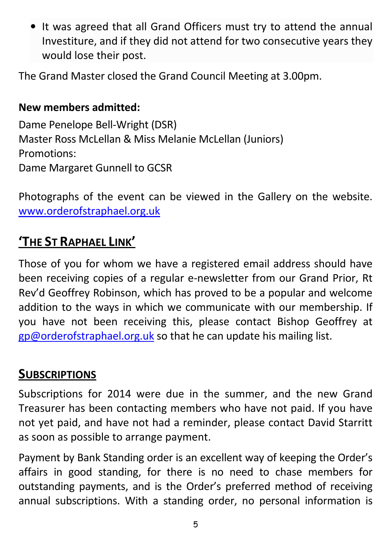• It was agreed that all Grand Officers must try to attend the annual Investiture, and if they did not attend for two consecutive years they would lose their post.

The Grand Master closed the Grand Council Meeting at 3.00pm.

#### New members admitted:

Dame Penelope Bell-Wright (DSR) Master Ross McLellan & Miss Melanie McLellan (Juniors) Promotions: Dame Margaret Gunnell to GCSR

Photographs of the event can be viewed in the Gallery on the website. www.orderofstraphael.org.uk

## 'THE ST RAPHAEL LINK'

Those of you for whom we have a registered email address should have been receiving copies of a regular e-newsletter from our Grand Prior, Rt Rev'd Geoffrey Robinson, which has proved to be a popular and welcome addition to the ways in which we communicate with our membership. If you have not been receiving this, please contact Bishop Geoffrey at gp@orderofstraphael.org.uk so that he can update his mailing list.

### **SUBSCRIPTIONS**

Subscriptions for 2014 were due in the summer, and the new Grand Treasurer has been contacting members who have not paid. If you have not yet paid, and have not had a reminder, please contact David Starritt as soon as possible to arrange payment.

Payment by Bank Standing order is an excellent way of keeping the Order's affairs in good standing, for there is no need to chase members for outstanding payments, and is the Order's preferred method of receiving annual subscriptions. With a standing order, no personal information is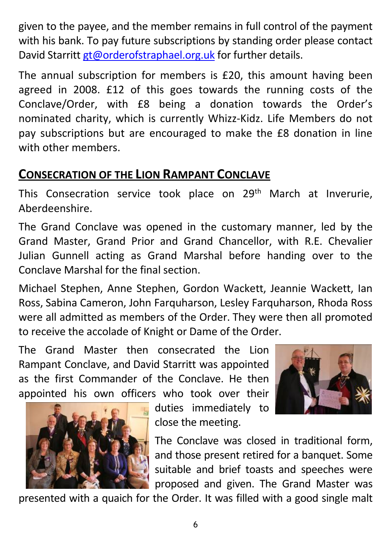given to the payee, and the member remains in full control of the payment with his bank. To pay future subscriptions by standing order please contact David Starritt gt@orderofstraphael.org.uk for further details.

The annual subscription for members is £20, this amount having been agreed in 2008. £12 of this goes towards the running costs of the Conclave/Order, with £8 being a donation towards the Order's nominated charity, which is currently Whizz-Kidz. Life Members do not pay subscriptions but are encouraged to make the £8 donation in line with other members.

### CONSECRATION OF THE LION RAMPANT CONCLAVE

This Consecration service took place on 29<sup>th</sup> March at Inverurie, Aberdeenshire.

The Grand Conclave was opened in the customary manner, led by the Grand Master, Grand Prior and Grand Chancellor, with R.E. Chevalier Julian Gunnell acting as Grand Marshal before handing over to the Conclave Marshal for the final section.

Michael Stephen, Anne Stephen, Gordon Wackett, Jeannie Wackett, Ian Ross, Sabina Cameron, John Farquharson, Lesley Farquharson, Rhoda Ross were all admitted as members of the Order. They were then all promoted to receive the accolade of Knight or Dame of the Order.

The Grand Master then consecrated the Lion Rampant Conclave, and David Starritt was appointed as the first Commander of the Conclave. He then appointed his own officers who took over their







presented with a quaich for the Order. It was filled with a good single malt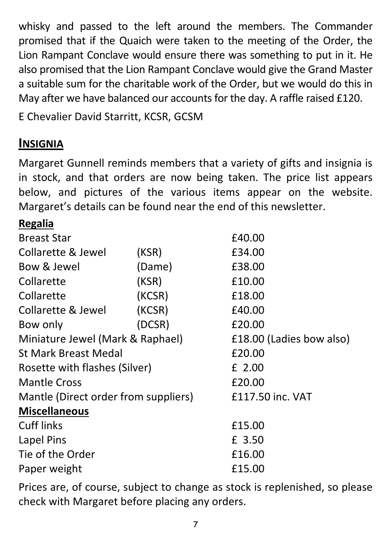whisky and passed to the left around the members. The Commander promised that if the Quaich were taken to the meeting of the Order, the Lion Rampant Conclave would ensure there was something to put in it. He also promised that the Lion Rampant Conclave would give the Grand Master a suitable sum for the charitable work of the Order, but we would do this in May after we have balanced our accounts for the day. A raffle raised £120.

E Chevalier David Starritt, KCSR, GCSM

### **INSIGNIA**

Margaret Gunnell reminds members that a variety of gifts and insignia is in stock, and that orders are now being taken. The price list appears below, and pictures of the various items appear on the website. Margaret's details can be found near the end of this newsletter.

#### Regalia

| <b>Breast Star</b>                   |        | £40.00                   |  |
|--------------------------------------|--------|--------------------------|--|
| Collarette & Jewel                   | (KSR)  | £34.00                   |  |
| Bow & Jewel                          | (Dame) | £38.00                   |  |
| Collarette                           | (KSR)  | £10.00                   |  |
| Collarette                           | (KCSR) | £18.00                   |  |
| Collarette & Jewel                   | (KCSR) | £40.00                   |  |
| Bow only                             | (DCSR) | £20.00                   |  |
| Miniature Jewel (Mark & Raphael)     |        | £18.00 (Ladies bow also) |  |
| <b>St Mark Breast Medal</b>          |        | £20.00                   |  |
| Rosette with flashes (Silver)        |        | £ 2.00                   |  |
| <b>Mantle Cross</b>                  |        | £20.00                   |  |
| Mantle (Direct order from suppliers) |        | £117.50 inc. VAT         |  |
| <b>Miscellaneous</b>                 |        |                          |  |
| <b>Cuff links</b>                    |        | £15.00                   |  |
| Lapel Pins                           |        | £ 3.50                   |  |
| Tie of the Order                     |        | £16.00                   |  |
| Paper weight                         |        | £15.00                   |  |

Prices are, of course, subject to change as stock is replenished, so please check with Margaret before placing any orders.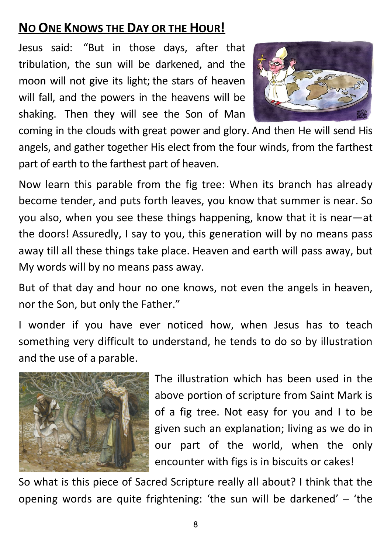## NO ONE KNOWS THE DAY OR THE HOUR!

Jesus said: "But in those days, after that tribulation, the sun will be darkened, and the moon will not give its light; the stars of heaven will fall, and the powers in the heavens will be shaking. Then they will see the Son of Man



coming in the clouds with great power and glory. And then He will send His angels, and gather together His elect from the four winds, from the farthest part of earth to the farthest part of heaven.

Now learn this parable from the fig tree: When its branch has already become tender, and puts forth leaves, you know that summer is near. So you also, when you see these things happening, know that it is near—at the doors! Assuredly, I say to you, this generation will by no means pass away till all these things take place. Heaven and earth will pass away, but My words will by no means pass away.

But of that day and hour no one knows, not even the angels in heaven, nor the Son, but only the Father."

I wonder if you have ever noticed how, when Jesus has to teach something very difficult to understand, he tends to do so by illustration and the use of a parable.



The illustration which has been used in the above portion of scripture from Saint Mark is of a fig tree. Not easy for you and I to be given such an explanation; living as we do in our part of the world, when the only encounter with figs is in biscuits or cakes!

So what is this piece of Sacred Scripture really all about? I think that the opening words are quite frightening: 'the sun will be darkened' – 'the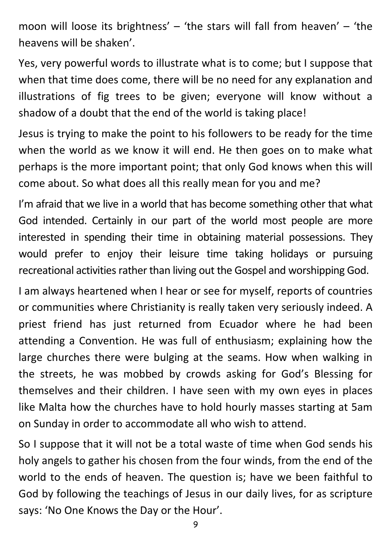moon will loose its brightness'  $-$  'the stars will fall from heaven'  $-$  'the heavens will be shaken'.

Yes, very powerful words to illustrate what is to come; but I suppose that when that time does come, there will be no need for any explanation and illustrations of fig trees to be given; everyone will know without a shadow of a doubt that the end of the world is taking place!

Jesus is trying to make the point to his followers to be ready for the time when the world as we know it will end. He then goes on to make what perhaps is the more important point; that only God knows when this will come about. So what does all this really mean for you and me?

I'm afraid that we live in a world that has become something other that what God intended. Certainly in our part of the world most people are more interested in spending their time in obtaining material possessions. They would prefer to enjoy their leisure time taking holidays or pursuing recreational activities rather than living out the Gospel and worshipping God.

I am always heartened when I hear or see for myself, reports of countries or communities where Christianity is really taken very seriously indeed. A priest friend has just returned from Ecuador where he had been attending a Convention. He was full of enthusiasm; explaining how the large churches there were bulging at the seams. How when walking in the streets, he was mobbed by crowds asking for God's Blessing for themselves and their children. I have seen with my own eyes in places like Malta how the churches have to hold hourly masses starting at 5am on Sunday in order to accommodate all who wish to attend.

So I suppose that it will not be a total waste of time when God sends his holy angels to gather his chosen from the four winds, from the end of the world to the ends of heaven. The question is; have we been faithful to God by following the teachings of Jesus in our daily lives, for as scripture says: 'No One Knows the Day or the Hour'.

9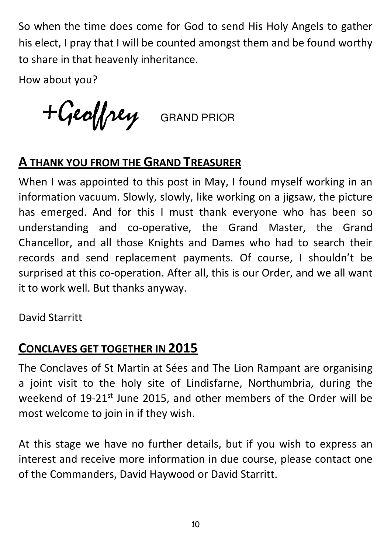So when the time does come for God to send His Holy Angels to gather his elect, I pray that I will be counted amongst them and be found worthy to share in that heavenly inheritance.

How about you?

+Geoffrey GRAND PRIOR

### **A THANK YOU FROM THE GRAND TREASURER**

When I was appointed to this post in May, I found myself working in an information vacuum. Slowly, slowly, like working on a jigsaw, the picture has emerged. And for this I must thank everyone who has been so understanding and co-operative, the Grand Master, the Grand Chancellor, and all those Knights and Dames who had to search their records and send replacement payments. Of course, I shouldn't be surprised at this co-operation. After all, this is our Order, and we all want it to work well. But thanks anyway.

David Starritt

## CONCLAVES GET TOGETHER IN 2015

The Conclaves of St Martin at Sées and The Lion Rampant are organising a joint visit to the holy site of Lindisfarne, Northumbria, during the weekend of 19-21<sup>st</sup> June 2015, and other members of the Order will be most welcome to join in if they wish.

At this stage we have no further details, but if you wish to express an interest and receive more information in due course, please contact one of the Commanders, David Haywood or David Starritt.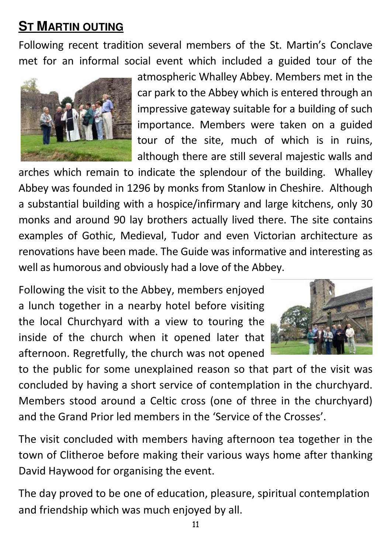# **ST MARTIN OUTING**

Following recent tradition several members of the St. Martin's Conclave met for an informal social event which included a guided tour of the



atmospheric Whalley Abbey. Members met in the car park to the Abbey which is entered through an impressive gateway suitable for a building of such importance. Members were taken on a guided tour of the site, much of which is in ruins, although there are still several majestic walls and

arches which remain to indicate the splendour of the building. Whalley Abbey was founded in 1296 by monks from Stanlow in Cheshire. Although a substantial building with a hospice/infirmary and large kitchens, only 30 monks and around 90 lay brothers actually lived there. The site contains examples of Gothic, Medieval, Tudor and even Victorian architecture as renovations have been made. The Guide was informative and interesting as well as humorous and obviously had a love of the Abbey.

Following the visit to the Abbey, members enjoyed a lunch together in a nearby hotel before visiting the local Churchyard with a view to touring the inside of the church when it opened later that afternoon. Regretfully, the church was not opened



to the public for some unexplained reason so that part of the visit was concluded by having a short service of contemplation in the churchyard. Members stood around a Celtic cross (one of three in the churchyard) and the Grand Prior led members in the 'Service of the Crosses'.

The visit concluded with members having afternoon tea together in the town of Clitheroe before making their various ways home after thanking David Haywood for organising the event.

The day proved to be one of education, pleasure, spiritual contemplation and friendship which was much enjoyed by all.